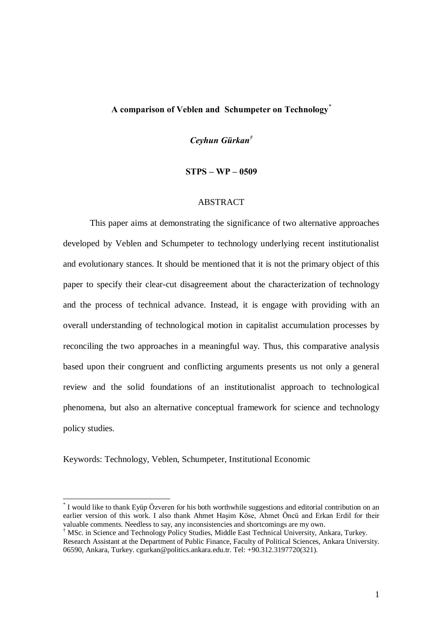# A comparison of Veblen and Schumpeter on Technology \*

Ceyhun Gürkan $^{\dagger}$ 

 $STPS - WP - 0509$ 

#### ABSTRACT

This paper aims at demonstrating the significance of two alternative approaches developed by Veblen and Schumpeter to technology underlying recent institutionalist and evolutionary stances. It should be mentioned that it is not the primary object of this paper to specify their clear-cut disagreement about the characterization of technology and the process of technical advance. Instead, it is engage with providing with an overall understanding of technological motion in capitalist accumulation processes by reconciling the two approaches in a meaningful way. Thus, this comparative analysis based upon their congruent and conflicting arguments presents us not only a general review and the solid foundations of an institutionalist approach to technological phenomena, but also an alternative conceptual framework for science and technology policy studies.

Keywords: Technology, Veblen, Schumpeter, Institutional Economic

I would like to thank Eyüp Özveren for his both worthwhile suggestions and editorial contribution on an earlier version of this work. I also thank Ahmet Hasim Köse, Ahmet Öncü and Erkan Erdil for their valuable comments. Needless to say, any inconsistencies and shortcomings are my own.<br><sup>†</sup> MSc. in Science and Technology Policy Studies, Middle East Technical University, Ankara, Turkey.

Research Assistant at the Department of Public Finance, Faculty of Political Sciences, Ankara University. 06590, Ankara, Turkey. cgurkan@politics.ankara.edu.tr. Tel: +90.312.3197720(321).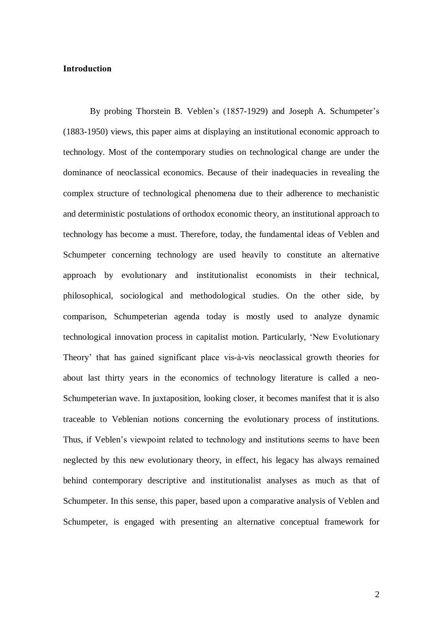# Introduction

By probing Thorstein B. Veblen's (1857-1929) and Joseph A. Schumpeter's (1883-1950) views, this paper aims at displaying an institutional economic approach to technology. Most of the contemporary studies on technological change are under the dominance of neoclassical economics. Because of their inadequacies in revealing the complex structure of technological phenomena due to their adherence to mechanistic and deterministic postulations of orthodox economic theory, an institutional approach to technology has become a must. Therefore, today, the fundamental ideas of Veblen and Schumpeter concerning technology are used heavily to constitute an alternative approach by evolutionary and institutionalist economists in their technical, philosophical, sociological and methodological studies. On the other side, by comparison, Schumpeterian agenda today is mostly used to analyze dynamic technological innovation process in capitalist motion. Particularly, ëNew Evolutionary Theory' that has gained significant place vis-à-vis neoclassical growth theories for about last thirty years in the economics of technology literature is called a neo-Schumpeterian wave. In juxtaposition, looking closer, it becomes manifest that it is also traceable to Veblenian notions concerning the evolutionary process of institutions. Thus, if Veblen's viewpoint related to technology and institutions seems to have been neglected by this new evolutionary theory, in effect, his legacy has always remained behind contemporary descriptive and institutionalist analyses as much as that of Schumpeter. In this sense, this paper, based upon a comparative analysis of Veblen and Schumpeter, is engaged with presenting an alternative conceptual framework for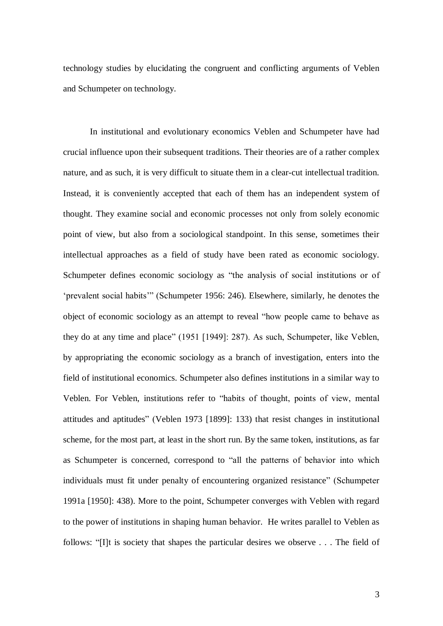technology studies by elucidating the congruent and conflicting arguments of Veblen and Schumpeter on technology.

In institutional and evolutionary economics Veblen and Schumpeter have had crucial influence upon their subsequent traditions. Their theories are of a rather complex nature, and as such, it is very difficult to situate them in a clear-cut intellectual tradition. Instead, it is conveniently accepted that each of them has an independent system of thought. They examine social and economic processes not only from solely economic point of view, but also from a sociological standpoint. In this sense, sometimes their intellectual approaches as a field of study have been rated as economic sociology. Schumpeter defines economic sociology as "the analysis of social institutions or of 'prevalent social habits'" (Schumpeter 1956: 246). Elsewhere, similarly, he denotes the object of economic sociology as an attempt to reveal "how people came to behave as they do at any time and place" (1951 [1949]: 287). As such, Schumpeter, like Veblen, by appropriating the economic sociology as a branch of investigation, enters into the field of institutional economics. Schumpeter also defines institutions in a similar way to Veblen. For Veblen, institutions refer to "habits of thought, points of view, mental attitudes and aptitudes" (Veblen 1973 [1899]: 133) that resist changes in institutional scheme, for the most part, at least in the short run. By the same token, institutions, as far as Schumpeter is concerned, correspond to "all the patterns of behavior into which individuals must fit under penalty of encountering organized resistance" (Schumpeter 1991a [1950]: 438). More to the point, Schumpeter converges with Veblen with regard to the power of institutions in shaping human behavior. He writes parallel to Veblen as follows: "I]t is society that shapes the particular desires we observe  $\dots$ . The field of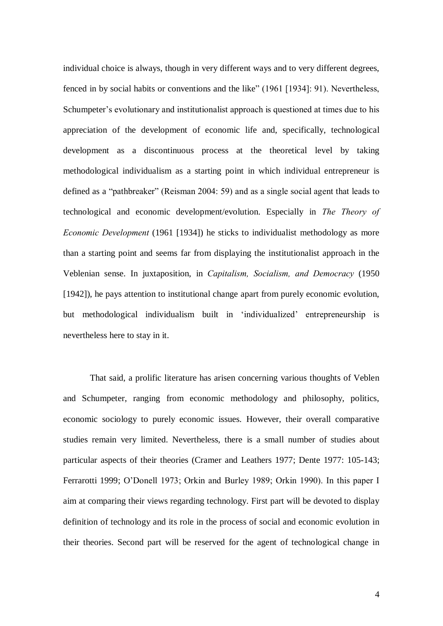individual choice is always, though in very different ways and to very different degrees, fenced in by social habits or conventions and the like" (1961 [1934]: 91). Nevertheless, Schumpeter's evolutionary and institutionalist approach is questioned at times due to his appreciation of the development of economic life and, specifically, technological development as a discontinuous process at the theoretical level by taking methodological individualism as a starting point in which individual entrepreneur is defined as a "pathbreaker" (Reisman 2004: 59) and as a single social agent that leads to technological and economic development/evolution. Especially in The Theory of Economic Development (1961 [1934]) he sticks to individualist methodology as more than a starting point and seems far from displaying the institutionalist approach in the Veblenian sense. In juxtaposition, in Capitalism, Socialism, and Democracy (1950 [1942]), he pays attention to institutional change apart from purely economic evolution, but methodological individualism built in 'individualized' entrepreneurship is nevertheless here to stay in it.

That said, a prolific literature has arisen concerning various thoughts of Veblen and Schumpeter, ranging from economic methodology and philosophy, politics, economic sociology to purely economic issues. However, their overall comparative studies remain very limited. Nevertheless, there is a small number of studies about particular aspects of their theories (Cramer and Leathers 1977; Dente 1977: 105-143; Ferrarotti 1999; O'Donell 1973; Orkin and Burley 1989; Orkin 1990). In this paper I aim at comparing their views regarding technology. First part will be devoted to display definition of technology and its role in the process of social and economic evolution in their theories. Second part will be reserved for the agent of technological change in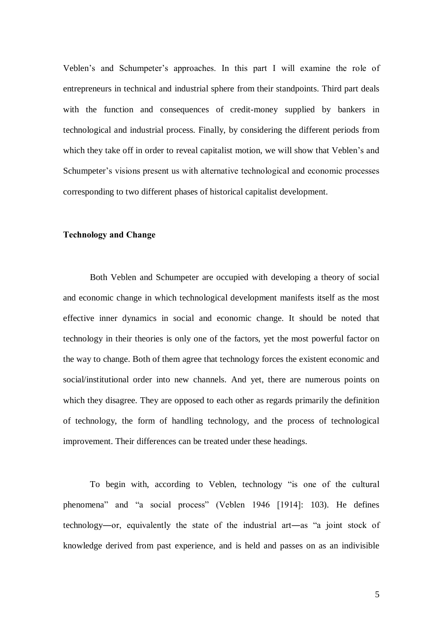Veblen's and Schumpeter's approaches. In this part I will examine the role of entrepreneurs in technical and industrial sphere from their standpoints. Third part deals with the function and consequences of credit-money supplied by bankers in technological and industrial process. Finally, by considering the different periods from which they take off in order to reveal capitalist motion, we will show that Veblen's and Schumpeter's visions present us with alternative technological and economic processes corresponding to two different phases of historical capitalist development.

## Technology and Change

Both Veblen and Schumpeter are occupied with developing a theory of social and economic change in which technological development manifests itself as the most effective inner dynamics in social and economic change. It should be noted that technology in their theories is only one of the factors, yet the most powerful factor on the way to change. Both of them agree that technology forces the existent economic and social/institutional order into new channels. And yet, there are numerous points on which they disagree. They are opposed to each other as regards primarily the definition of technology, the form of handling technology, and the process of technological improvement. Their differences can be treated under these headings.

To begin with, according to Veblen, technology "is one of the cultural phenomena" and "a social process" (Veblen 1946 [1914]: 103). He defines technology—or, equivalently the state of the industrial art—as "a joint stock of knowledge derived from past experience, and is held and passes on as an indivisible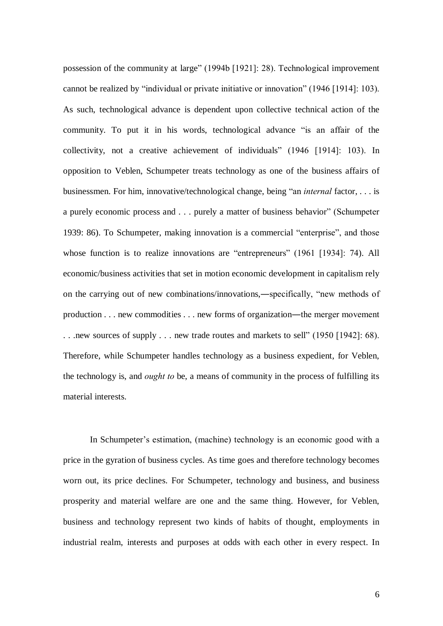possession of the community at large" (1994b [1921]: 28). Technological improvement cannot be realized by "individual or private initiative or innovation" (1946 [1914]: 103). As such, technological advance is dependent upon collective technical action of the community. To put it in his words, technological advance "is an affair of the collectivity, not a creative achievement of individuals" (1946 [1914]: 103). In opposition to Veblen, Schumpeter treats technology as one of the business affairs of businessmen. For him, innovative/technological change, being "an *internal* factor,  $\dots$  is a purely economic process and . . . purely a matter of business behavior" (Schumpeter 1939: 86). To Schumpeter, making innovation is a commercial "enterprise", and those whose function is to realize innovations are "entrepreneurs" (1961 [1934]: 74). All economic/business activities that set in motion economic development in capitalism rely on the carrying out of new combinations/innovations,—specifically, "new methods of production  $\dots$  new commodities  $\dots$  new forms of organization—the merger movement ... new sources of supply ... new trade routes and markets to sell" (1950 [1942]: 68). Therefore, while Schumpeter handles technology as a business expedient, for Veblen, the technology is, and ought to be, a means of community in the process of fulfilling its material interests.

In Schumpeter's estimation, (machine) technology is an economic good with a price in the gyration of business cycles. As time goes and therefore technology becomes worn out, its price declines. For Schumpeter, technology and business, and business prosperity and material welfare are one and the same thing. However, for Veblen, business and technology represent two kinds of habits of thought, employments in industrial realm, interests and purposes at odds with each other in every respect. In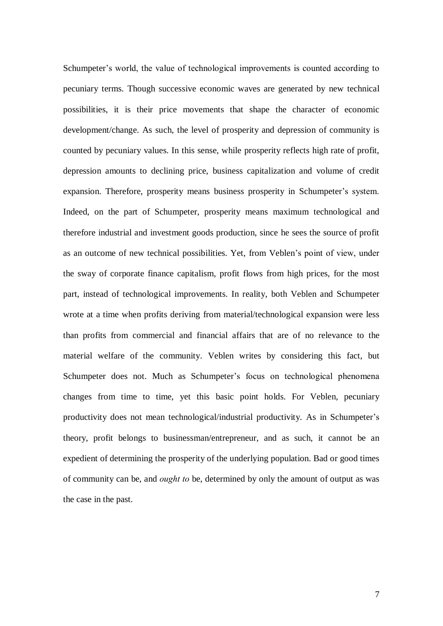Schumpeter's world, the value of technological improvements is counted according to pecuniary terms. Though successive economic waves are generated by new technical possibilities, it is their price movements that shape the character of economic development/change. As such, the level of prosperity and depression of community is counted by pecuniary values. In this sense, while prosperity reflects high rate of profit, depression amounts to declining price, business capitalization and volume of credit expansion. Therefore, prosperity means business prosperity in Schumpeter's system. Indeed, on the part of Schumpeter, prosperity means maximum technological and therefore industrial and investment goods production, since he sees the source of profit as an outcome of new technical possibilities. Yet, from Veblen's point of view, under the sway of corporate finance capitalism, profit flows from high prices, for the most part, instead of technological improvements. In reality, both Veblen and Schumpeter wrote at a time when profits deriving from material/technological expansion were less than profits from commercial and financial affairs that are of no relevance to the material welfare of the community. Veblen writes by considering this fact, but Schumpeter does not. Much as Schumpeter's focus on technological phenomena changes from time to time, yet this basic point holds. For Veblen, pecuniary productivity does not mean technological/industrial productivity. As in Schumpeter's theory, profit belongs to businessman/entrepreneur, and as such, it cannot be an expedient of determining the prosperity of the underlying population. Bad or good times of community can be, and ought to be, determined by only the amount of output as was the case in the past.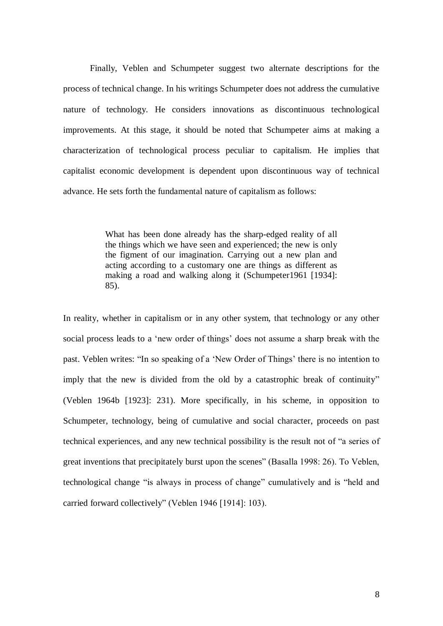Finally, Veblen and Schumpeter suggest two alternate descriptions for the process of technical change. In his writings Schumpeter does not address the cumulative nature of technology. He considers innovations as discontinuous technological improvements. At this stage, it should be noted that Schumpeter aims at making a characterization of technological process peculiar to capitalism. He implies that capitalist economic development is dependent upon discontinuous way of technical advance. He sets forth the fundamental nature of capitalism as follows:

> What has been done already has the sharp-edged reality of all the things which we have seen and experienced; the new is only the figment of our imagination. Carrying out a new plan and acting according to a customary one are things as different as making a road and walking along it (Schumpeter1961 [1934]: 85).

In reality, whether in capitalism or in any other system, that technology or any other social process leads to a 'new order of things' does not assume a sharp break with the past. Veblen writes: "In so speaking of a 'New Order of Things' there is no intention to imply that the new is divided from the old by a catastrophic break of continuity" (Veblen 1964b [1923]: 231). More specifically, in his scheme, in opposition to Schumpeter, technology, being of cumulative and social character, proceeds on past technical experiences, and any new technical possibility is the result not of "a series of great inventions that precipitately burst upon the scenes" (Basalla 1998: 26). To Veblen, technological change "is always in process of change" cumulatively and is "held and carried forward collectively" (Veblen 1946 [1914]: 103).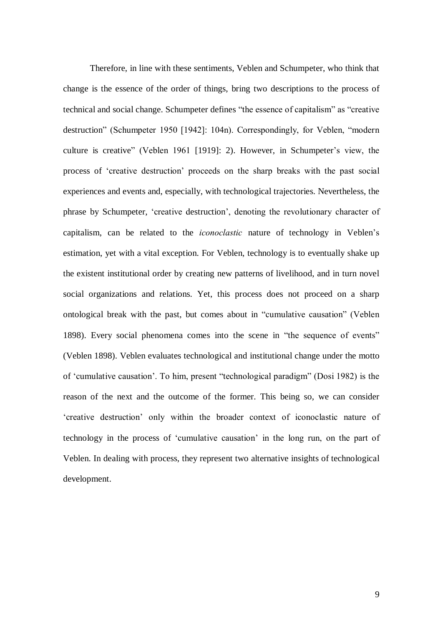Therefore, in line with these sentiments, Veblen and Schumpeter, who think that change is the essence of the order of things, bring two descriptions to the process of technical and social change. Schumpeter defines "the essence of capitalism" as "creative destruction" (Schumpeter 1950 [1942]: 104n). Correspondingly, for Veblen, "modern culture is creative" (Veblen 1961 [1919]: 2). However, in Schumpeter's view, the process of 'creative destruction' proceeds on the sharp breaks with the past social experiences and events and, especially, with technological trajectories. Nevertheless, the phrase by Schumpeter, 'creative destruction', denoting the revolutionary character of capitalism, can be related to the *iconoclastic* nature of technology in Veblen's estimation, yet with a vital exception. For Veblen, technology is to eventually shake up the existent institutional order by creating new patterns of livelihood, and in turn novel social organizations and relations. Yet, this process does not proceed on a sharp ontological break with the past, but comes about in "cumulative causation" (Veblen 1898). Every social phenomena comes into the scene in "the sequence of events" (Veblen 1898). Veblen evaluates technological and institutional change under the motto of 'cumulative causation'. To him, present "technological paradigm" (Dosi 1982) is the reason of the next and the outcome of the former. This being so, we can consider ëcreative destructioní only within the broader context of iconoclastic nature of technology in the process of 'cumulative causation' in the long run, on the part of Veblen. In dealing with process, they represent two alternative insights of technological development.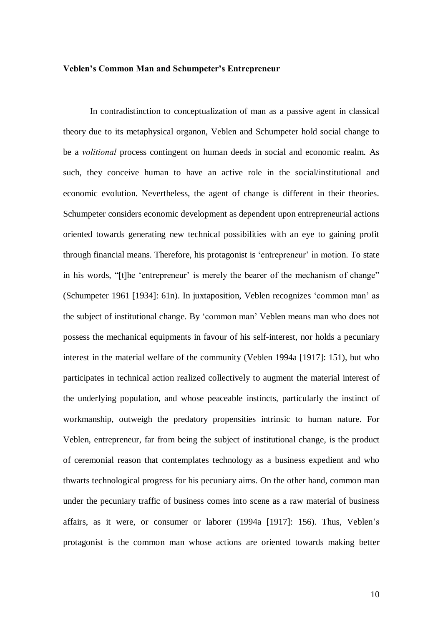#### Veblen's Common Man and Schumpeter's Entrepreneur

In contradistinction to conceptualization of man as a passive agent in classical theory due to its metaphysical organon, Veblen and Schumpeter hold social change to be a volitional process contingent on human deeds in social and economic realm. As such, they conceive human to have an active role in the social/institutional and economic evolution. Nevertheless, the agent of change is different in their theories. Schumpeter considers economic development as dependent upon entrepreneurial actions oriented towards generating new technical possibilities with an eye to gaining profit through financial means. Therefore, his protagonist is 'entrepreneur' in motion. To state in his words, "[t]he 'entrepreneur' is merely the bearer of the mechanism of change" (Schumpeter 1961 [1934]: 61n). In juxtaposition, Veblen recognizes 'common man' as the subject of institutional change. By 'common man' Veblen means man who does not possess the mechanical equipments in favour of his self-interest, nor holds a pecuniary interest in the material welfare of the community (Veblen 1994a [1917]: 151), but who participates in technical action realized collectively to augment the material interest of the underlying population, and whose peaceable instincts, particularly the instinct of workmanship, outweigh the predatory propensities intrinsic to human nature. For Veblen, entrepreneur, far from being the subject of institutional change, is the product of ceremonial reason that contemplates technology as a business expedient and who thwarts technological progress for his pecuniary aims. On the other hand, common man under the pecuniary traffic of business comes into scene as a raw material of business affairs, as it were, or consumer or laborer (1994a [1917]: 156). Thus, Veblen's protagonist is the common man whose actions are oriented towards making better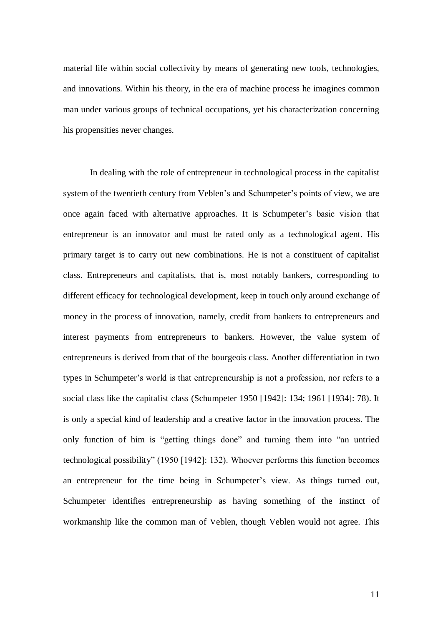material life within social collectivity by means of generating new tools, technologies, and innovations. Within his theory, in the era of machine process he imagines common man under various groups of technical occupations, yet his characterization concerning his propensities never changes.

In dealing with the role of entrepreneur in technological process in the capitalist system of the twentieth century from Veblen's and Schumpeter's points of view, we are once again faced with alternative approaches. It is Schumpeter's basic vision that entrepreneur is an innovator and must be rated only as a technological agent. His primary target is to carry out new combinations. He is not a constituent of capitalist class. Entrepreneurs and capitalists, that is, most notably bankers, corresponding to different efficacy for technological development, keep in touch only around exchange of money in the process of innovation, namely, credit from bankers to entrepreneurs and interest payments from entrepreneurs to bankers. However, the value system of entrepreneurs is derived from that of the bourgeois class. Another differentiation in two types in Schumpeter's world is that entrepreneurship is not a profession, nor refers to a social class like the capitalist class (Schumpeter 1950 [1942]: 134; 1961 [1934]: 78). It is only a special kind of leadership and a creative factor in the innovation process. The only function of him is "getting things done" and turning them into "an untried technological possibilityî (1950 [1942]: 132). Whoever performs this function becomes an entrepreneur for the time being in Schumpeter's view. As things turned out, Schumpeter identifies entrepreneurship as having something of the instinct of workmanship like the common man of Veblen, though Veblen would not agree. This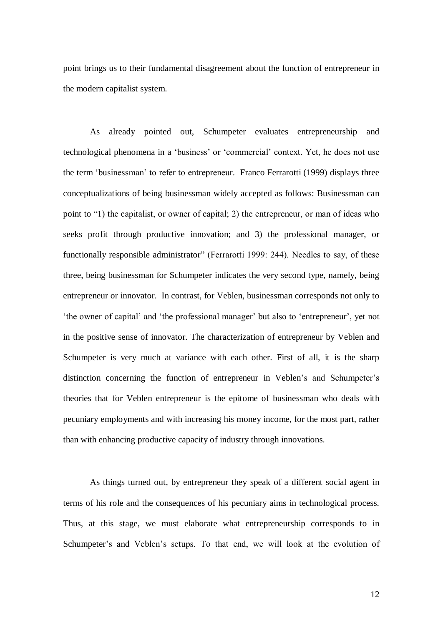point brings us to their fundamental disagreement about the function of entrepreneur in the modern capitalist system.

As already pointed out, Schumpeter evaluates entrepreneurship and technological phenomena in a 'business' or 'commercial' context. Yet, he does not use the term 'businessman' to refer to entrepreneur. Franco Ferrarotti (1999) displays three conceptualizations of being businessman widely accepted as follows: Businessman can point to "1) the capitalist, or owner of capital; 2) the entrepreneur, or man of ideas who seeks profit through productive innovation; and 3) the professional manager, or functionally responsible administrator" (Ferrarotti 1999: 244). Needles to say, of these three, being businessman for Schumpeter indicates the very second type, namely, being entrepreneur or innovator. In contrast, for Veblen, businessman corresponds not only to 'the owner of capital' and 'the professional manager' but also to 'entrepreneur', yet not in the positive sense of innovator. The characterization of entrepreneur by Veblen and Schumpeter is very much at variance with each other. First of all, it is the sharp distinction concerning the function of entrepreneur in Veblen's and Schumpeter's theories that for Veblen entrepreneur is the epitome of businessman who deals with pecuniary employments and with increasing his money income, for the most part, rather than with enhancing productive capacity of industry through innovations.

As things turned out, by entrepreneur they speak of a different social agent in terms of his role and the consequences of his pecuniary aims in technological process. Thus, at this stage, we must elaborate what entrepreneurship corresponds to in Schumpeter's and Veblen's setups. To that end, we will look at the evolution of

12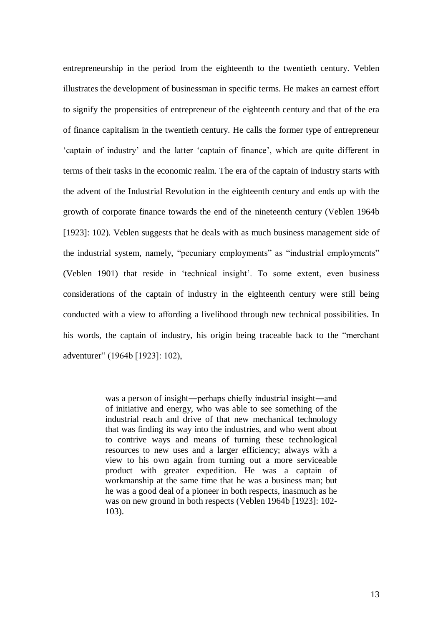entrepreneurship in the period from the eighteenth to the twentieth century. Veblen illustrates the development of businessman in specific terms. He makes an earnest effort to signify the propensities of entrepreneur of the eighteenth century and that of the era of finance capitalism in the twentieth century. He calls the former type of entrepreneur 'captain of industry' and the latter 'captain of finance', which are quite different in terms of their tasks in the economic realm. The era of the captain of industry starts with the advent of the Industrial Revolution in the eighteenth century and ends up with the growth of corporate finance towards the end of the nineteenth century (Veblen 1964b [1923]: 102). Veblen suggests that he deals with as much business management side of the industrial system, namely, "pecuniary employments" as "industrial employments" (Veblen 1901) that reside in 'technical insight'. To some extent, even business considerations of the captain of industry in the eighteenth century were still being conducted with a view to affording a livelihood through new technical possibilities. In his words, the captain of industry, his origin being traceable back to the "merchant" adventurer" (1964b [1923]: 102),

> was a person of insight—perhaps chiefly industrial insight—and of initiative and energy, who was able to see something of the industrial reach and drive of that new mechanical technology that was finding its way into the industries, and who went about to contrive ways and means of turning these technological resources to new uses and a larger efficiency; always with a view to his own again from turning out a more serviceable product with greater expedition. He was a captain of workmanship at the same time that he was a business man; but he was a good deal of a pioneer in both respects, inasmuch as he was on new ground in both respects (Veblen 1964b [1923]: 102- 103).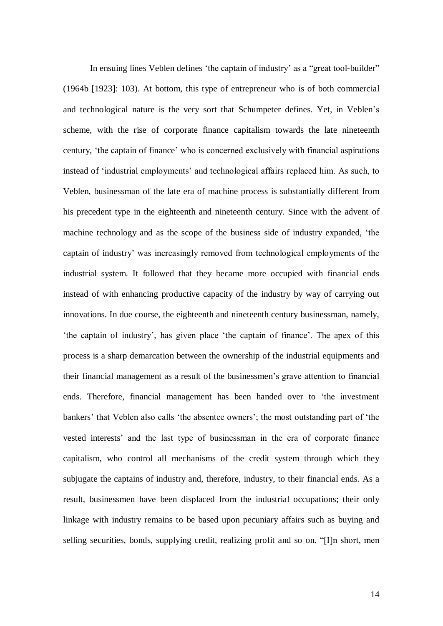In ensuing lines Veblen defines 'the captain of industry' as a "great tool-builder" (1964b [1923]: 103). At bottom, this type of entrepreneur who is of both commercial and technological nature is the very sort that Schumpeter defines. Yet, in Veblen's scheme, with the rise of corporate finance capitalism towards the late nineteenth century, 'the captain of finance' who is concerned exclusively with financial aspirations instead of 'industrial employments' and technological affairs replaced him. As such, to Veblen, businessman of the late era of machine process is substantially different from his precedent type in the eighteenth and nineteenth century. Since with the advent of machine technology and as the scope of the business side of industry expanded, 'the captain of industry' was increasingly removed from technological employments of the industrial system. It followed that they became more occupied with financial ends instead of with enhancing productive capacity of the industry by way of carrying out innovations. In due course, the eighteenth and nineteenth century businessman, namely, the captain of industry', has given place 'the captain of finance'. The apex of this process is a sharp demarcation between the ownership of the industrial equipments and their financial management as a result of the businessmen's grave attention to financial ends. Therefore, financial management has been handed over to 'the investment bankers' that Veblen also calls 'the absentee owners'; the most outstanding part of 'the vested interests' and the last type of businessman in the era of corporate finance capitalism, who control all mechanisms of the credit system through which they subjugate the captains of industry and, therefore, industry, to their financial ends. As a result, businessmen have been displaced from the industrial occupations; their only linkage with industry remains to be based upon pecuniary affairs such as buying and selling securities, bonds, supplying credit, realizing profit and so on. "[I]n short, men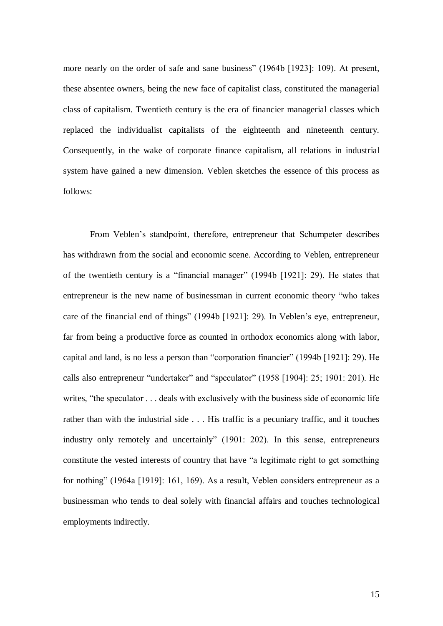more nearly on the order of safe and sane business" (1964b [1923]: 109). At present, these absentee owners, being the new face of capitalist class, constituted the managerial class of capitalism. Twentieth century is the era of financier managerial classes which replaced the individualist capitalists of the eighteenth and nineteenth century. Consequently, in the wake of corporate finance capitalism, all relations in industrial system have gained a new dimension. Veblen sketches the essence of this process as follows:

From Veblen's standpoint, therefore, entrepreneur that Schumpeter describes has withdrawn from the social and economic scene. According to Veblen, entrepreneur of the twentieth century is a "financial manager"  $(1994b \, 11921]$ : 29). He states that entrepreneur is the new name of businessman in current economic theory "who takes care of the financial end of things" (1994b [1921]: 29). In Veblen's eye, entrepreneur, far from being a productive force as counted in orthodox economics along with labor, capital and land, is no less a person than "corporation financier" (1994b [1921]: 29). He calls also entrepreneur "undertaker" and "speculator"  $(1958 \mid 1904]$ : 25; 1901: 201). He writes, "the speculator . . . deals with exclusively with the business side of economic life rather than with the industrial side . . . His traffic is a pecuniary traffic, and it touches industry only remotely and uncertainly" (1901: 202). In this sense, entrepreneurs constitute the vested interests of country that have "a legitimate right to get something for nothing" (1964a [1919]: 161, 169). As a result, Veblen considers entrepreneur as a businessman who tends to deal solely with financial affairs and touches technological employments indirectly.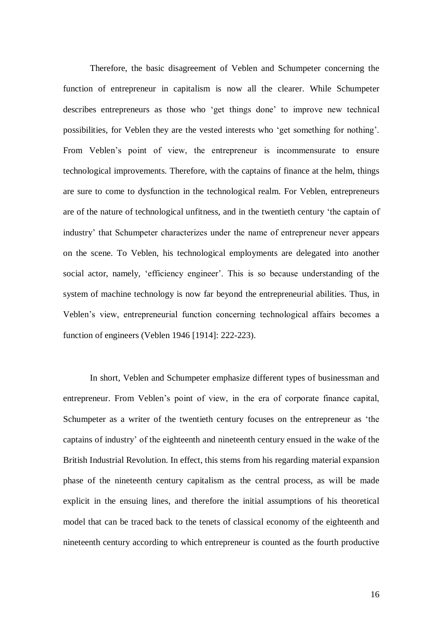Therefore, the basic disagreement of Veblen and Schumpeter concerning the function of entrepreneur in capitalism is now all the clearer. While Schumpeter describes entrepreneurs as those who 'get things done' to improve new technical possibilities, for Veblen they are the vested interests who 'get something for nothing'. From Veblen's point of view, the entrepreneur is incommensurate to ensure technological improvements. Therefore, with the captains of finance at the helm, things are sure to come to dysfunction in the technological realm. For Veblen, entrepreneurs are of the nature of technological unfitness, and in the twentieth century 'the captain of industry' that Schumpeter characterizes under the name of entrepreneur never appears on the scene. To Veblen, his technological employments are delegated into another social actor, namely, 'efficiency engineer'. This is so because understanding of the system of machine technology is now far beyond the entrepreneurial abilities. Thus, in Veblen's view, entrepreneurial function concerning technological affairs becomes a function of engineers (Veblen 1946 [1914]: 222-223).

In short, Veblen and Schumpeter emphasize different types of businessman and entrepreneur. From Veblen's point of view, in the era of corporate finance capital, Schumpeter as a writer of the twentieth century focuses on the entrepreneur as ëthe captains of industry' of the eighteenth and nineteenth century ensued in the wake of the British Industrial Revolution. In effect, this stems from his regarding material expansion phase of the nineteenth century capitalism as the central process, as will be made explicit in the ensuing lines, and therefore the initial assumptions of his theoretical model that can be traced back to the tenets of classical economy of the eighteenth and nineteenth century according to which entrepreneur is counted as the fourth productive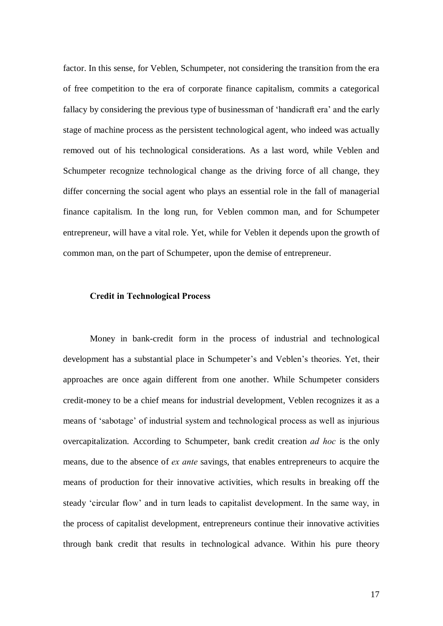factor. In this sense, for Veblen, Schumpeter, not considering the transition from the era of free competition to the era of corporate finance capitalism, commits a categorical fallacy by considering the previous type of businessman of 'handicraft era' and the early stage of machine process as the persistent technological agent, who indeed was actually removed out of his technological considerations. As a last word, while Veblen and Schumpeter recognize technological change as the driving force of all change, they differ concerning the social agent who plays an essential role in the fall of managerial finance capitalism. In the long run, for Veblen common man, and for Schumpeter entrepreneur, will have a vital role. Yet, while for Veblen it depends upon the growth of common man, on the part of Schumpeter, upon the demise of entrepreneur.

### Credit in Technological Process

Money in bank-credit form in the process of industrial and technological development has a substantial place in Schumpeter's and Veblen's theories. Yet, their approaches are once again different from one another. While Schumpeter considers credit-money to be a chief means for industrial development, Veblen recognizes it as a means of 'sabotage' of industrial system and technological process as well as injurious overcapitalization. According to Schumpeter, bank credit creation ad hoc is the only means, due to the absence of ex ante savings, that enables entrepreneurs to acquire the means of production for their innovative activities, which results in breaking off the steady 'circular flow' and in turn leads to capitalist development. In the same way, in the process of capitalist development, entrepreneurs continue their innovative activities through bank credit that results in technological advance. Within his pure theory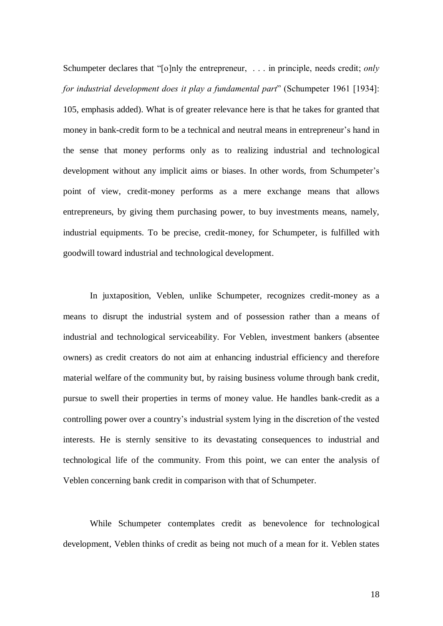Schumpeter declares that " $[0]$ nly the entrepreneur, ... in principle, needs credit; *only* for industrial development does it play a fundamental part" (Schumpeter 1961 [1934]: 105, emphasis added). What is of greater relevance here is that he takes for granted that money in bank-credit form to be a technical and neutral means in entrepreneur's hand in the sense that money performs only as to realizing industrial and technological development without any implicit aims or biases. In other words, from Schumpeter's point of view, credit-money performs as a mere exchange means that allows entrepreneurs, by giving them purchasing power, to buy investments means, namely, industrial equipments. To be precise, credit-money, for Schumpeter, is fulfilled with goodwill toward industrial and technological development.

In juxtaposition, Veblen, unlike Schumpeter, recognizes credit-money as a means to disrupt the industrial system and of possession rather than a means of industrial and technological serviceability. For Veblen, investment bankers (absentee owners) as credit creators do not aim at enhancing industrial efficiency and therefore material welfare of the community but, by raising business volume through bank credit, pursue to swell their properties in terms of money value. He handles bank-credit as a controlling power over a country's industrial system lying in the discretion of the vested interests. He is sternly sensitive to its devastating consequences to industrial and technological life of the community. From this point, we can enter the analysis of Veblen concerning bank credit in comparison with that of Schumpeter.

While Schumpeter contemplates credit as benevolence for technological development, Veblen thinks of credit as being not much of a mean for it. Veblen states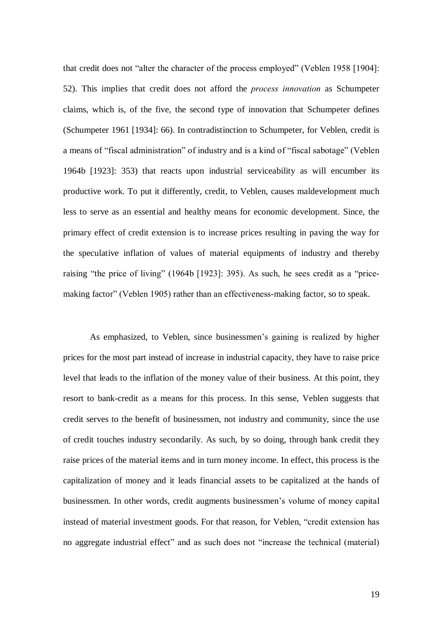that credit does not "alter the character of the process employed" (Veblen 1958 [1904]: 52). This implies that credit does not afford the process innovation as Schumpeter claims, which is, of the five, the second type of innovation that Schumpeter defines (Schumpeter 1961 [1934]: 66). In contradistinction to Schumpeter, for Veblen, credit is a means of "fiscal administration" of industry and is a kind of "fiscal sabotage" (Veblen 1964b [1923]: 353) that reacts upon industrial serviceability as will encumber its productive work. To put it differently, credit, to Veblen, causes maldevelopment much less to serve as an essential and healthy means for economic development. Since, the primary effect of credit extension is to increase prices resulting in paving the way for the speculative inflation of values of material equipments of industry and thereby raising "the price of living" (1964b [1923]: 395). As such, he sees credit as a "pricemaking factor" (Veblen 1905) rather than an effectiveness-making factor, so to speak.

As emphasized, to Veblen, since businessmen's gaining is realized by higher prices for the most part instead of increase in industrial capacity, they have to raise price level that leads to the inflation of the money value of their business. At this point, they resort to bank-credit as a means for this process. In this sense, Veblen suggests that credit serves to the benefit of businessmen, not industry and community, since the use of credit touches industry secondarily. As such, by so doing, through bank credit they raise prices of the material items and in turn money income. In effect, this process is the capitalization of money and it leads financial assets to be capitalized at the hands of businessmen. In other words, credit augments businessmen's volume of money capital instead of material investment goods. For that reason, for Veblen, "credit extension has no aggregate industrial effect" and as such does not "increase the technical (material)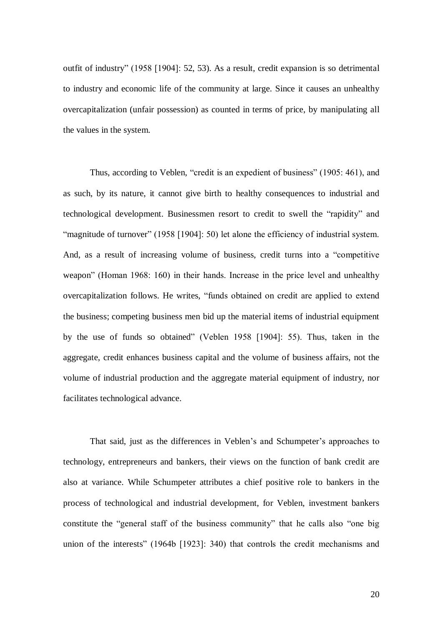outfit of industry" (1958 [1904]: 52, 53). As a result, credit expansion is so detrimental to industry and economic life of the community at large. Since it causes an unhealthy overcapitalization (unfair possession) as counted in terms of price, by manipulating all the values in the system.

Thus, according to Veblen, "credit is an expedient of business" (1905: 461), and as such, by its nature, it cannot give birth to healthy consequences to industrial and technological development. Businessmen resort to credit to swell the "rapidity" and ìmagnitude of turnoverî (1958 [1904]: 50) let alone the efficiency of industrial system. And, as a result of increasing volume of business, credit turns into a "competitive" weapon" (Homan 1968: 160) in their hands. Increase in the price level and unhealthy overcapitalization follows. He writes, "funds obtained on credit are applied to extend the business; competing business men bid up the material items of industrial equipment by the use of funds so obtained" (Veblen 1958 [1904]: 55). Thus, taken in the aggregate, credit enhances business capital and the volume of business affairs, not the volume of industrial production and the aggregate material equipment of industry, nor facilitates technological advance.

That said, just as the differences in Veblen's and Schumpeter's approaches to technology, entrepreneurs and bankers, their views on the function of bank credit are also at variance. While Schumpeter attributes a chief positive role to bankers in the process of technological and industrial development, for Veblen, investment bankers constitute the "general staff of the business community" that he calls also "one big union of the interests" (1964b [1923]: 340) that controls the credit mechanisms and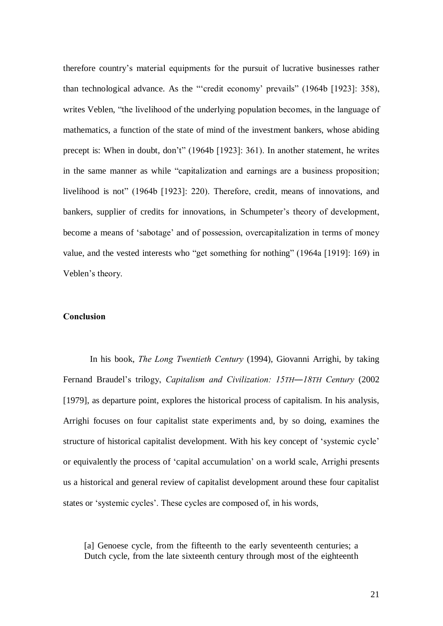therefore countryís material equipments for the pursuit of lucrative businesses rather than technological advance. As the "'credit economy' prevails" (1964b  $[1923]$ : 358), writes Veblen, "the livelihood of the underlying population becomes, in the language of mathematics, a function of the state of mind of the investment bankers, whose abiding precept is: When in doubt, don't" (1964b [1923]: 361). In another statement, he writes in the same manner as while "capitalization and earnings are a business proposition; livelihood is not" (1964b [1923]: 220). Therefore, credit, means of innovations, and bankers, supplier of credits for innovations, in Schumpeter's theory of development, become a means of 'sabotage' and of possession, overcapitalization in terms of money value, and the vested interests who "get something for nothing"  $(1964a \mid 1919]$ : 169) in Veblen's theory.

### Conclusion

In his book, The Long Twentieth Century (1994), Giovanni Arrighi, by taking Fernand Braudel's trilogy, Capitalism and Civilization: 15TH-18TH Century (2002) [1979], as departure point, explores the historical process of capitalism. In his analysis, Arrighi focuses on four capitalist state experiments and, by so doing, examines the structure of historical capitalist development. With his key concept of 'systemic cycle' or equivalently the process of 'capital accumulation' on a world scale, Arrighi presents us a historical and general review of capitalist development around these four capitalist states or 'systemic cycles'. These cycles are composed of, in his words,

[a] Genoese cycle, from the fifteenth to the early seventeenth centuries; a Dutch cycle, from the late sixteenth century through most of the eighteenth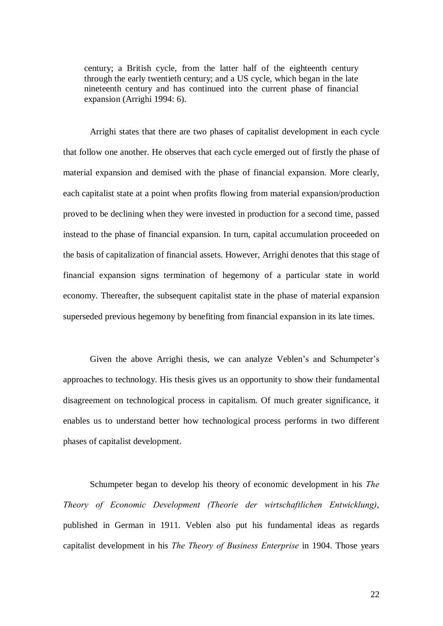century; a British cycle, from the latter half of the eighteenth century through the early twentieth century; and a US cycle, which began in the late nineteenth century and has continued into the current phase of financial expansion (Arrighi 1994: 6).

Arrighi states that there are two phases of capitalist development in each cycle that follow one another. He observes that each cycle emerged out of firstly the phase of material expansion and demised with the phase of financial expansion. More clearly, each capitalist state at a point when profits flowing from material expansion/production proved to be declining when they were invested in production for a second time, passed instead to the phase of financial expansion. In turn, capital accumulation proceeded on the basis of capitalization of financial assets. However, Arrighi denotes that this stage of financial expansion signs termination of hegemony of a particular state in world economy. Thereafter, the subsequent capitalist state in the phase of material expansion superseded previous hegemony by benefiting from financial expansion in its late times.

Given the above Arrighi thesis, we can analyze Veblen's and Schumpeter's approaches to technology. His thesis gives us an opportunity to show their fundamental disagreement on technological process in capitalism. Of much greater significance, it enables us to understand better how technological process performs in two different phases of capitalist development.

Schumpeter began to develop his theory of economic development in his The Theory of Economic Development (Theorie der wirtschaftlichen Entwicklung), published in German in 1911. Veblen also put his fundamental ideas as regards capitalist development in his The Theory of Business Enterprise in 1904. Those years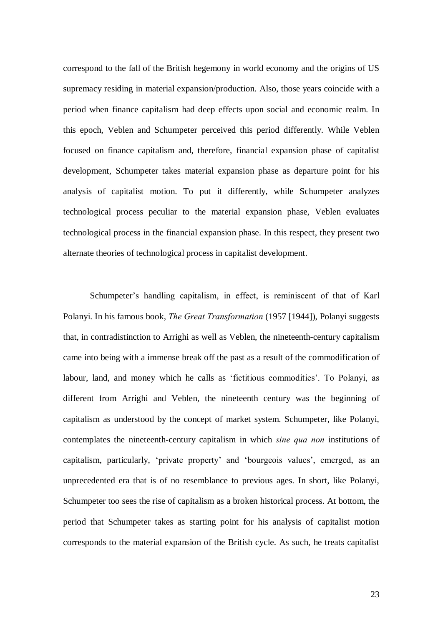correspond to the fall of the British hegemony in world economy and the origins of US supremacy residing in material expansion/production. Also, those years coincide with a period when finance capitalism had deep effects upon social and economic realm. In this epoch, Veblen and Schumpeter perceived this period differently. While Veblen focused on finance capitalism and, therefore, financial expansion phase of capitalist development, Schumpeter takes material expansion phase as departure point for his analysis of capitalist motion. To put it differently, while Schumpeter analyzes technological process peculiar to the material expansion phase, Veblen evaluates technological process in the financial expansion phase. In this respect, they present two alternate theories of technological process in capitalist development.

Schumpeter's handling capitalism, in effect, is reminiscent of that of Karl Polanyi. In his famous book, The Great Transformation (1957 [1944]), Polanyi suggests that, in contradistinction to Arrighi as well as Veblen, the nineteenth-century capitalism came into being with a immense break off the past as a result of the commodification of labour, land, and money which he calls as 'fictitious commodities'. To Polanyi, as different from Arrighi and Veblen, the nineteenth century was the beginning of capitalism as understood by the concept of market system. Schumpeter, like Polanyi, contemplates the nineteenth-century capitalism in which sine qua non institutions of capitalism, particularly, 'private property' and 'bourgeois values', emerged, as an unprecedented era that is of no resemblance to previous ages. In short, like Polanyi, Schumpeter too sees the rise of capitalism as a broken historical process. At bottom, the period that Schumpeter takes as starting point for his analysis of capitalist motion corresponds to the material expansion of the British cycle. As such, he treats capitalist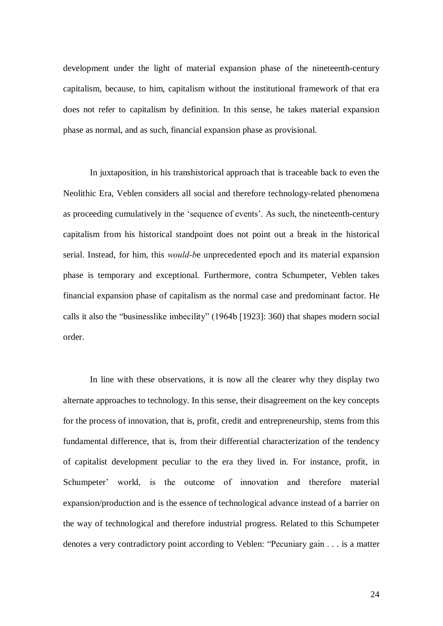development under the light of material expansion phase of the nineteenth-century capitalism, because, to him, capitalism without the institutional framework of that era does not refer to capitalism by definition. In this sense, he takes material expansion phase as normal, and as such, financial expansion phase as provisional.

In juxtaposition, in his transhistorical approach that is traceable back to even the Neolithic Era, Veblen considers all social and therefore technology-related phenomena as proceeding cumulatively in the 'sequence of events'. As such, the nineteenth-century capitalism from his historical standpoint does not point out a break in the historical serial. Instead, for him, this would-be unprecedented epoch and its material expansion phase is temporary and exceptional. Furthermore, contra Schumpeter, Veblen takes financial expansion phase of capitalism as the normal case and predominant factor. He calls it also the "businesslike imbecility" (1964b [1923]: 360) that shapes modern social order.

In line with these observations, it is now all the clearer why they display two alternate approaches to technology. In this sense, their disagreement on the key concepts for the process of innovation, that is, profit, credit and entrepreneurship, stems from this fundamental difference, that is, from their differential characterization of the tendency of capitalist development peculiar to the era they lived in. For instance, profit, in Schumpeter' world, is the outcome of innovation and therefore material expansion/production and is the essence of technological advance instead of a barrier on the way of technological and therefore industrial progress. Related to this Schumpeter denotes a very contradictory point according to Veblen: "Pecuniary gain  $\ldots$  is a matter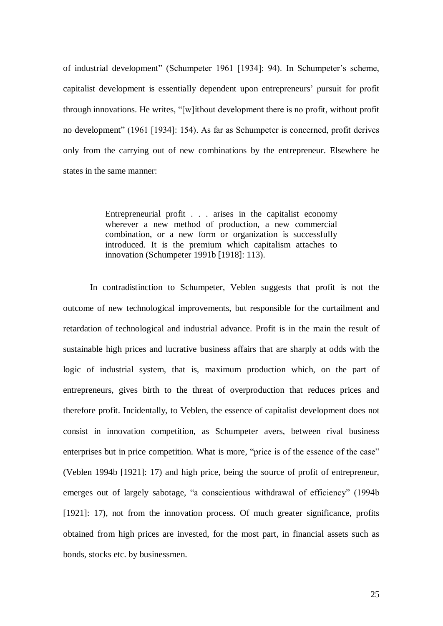of industrial development" (Schumpeter 1961 [1934]: 94). In Schumpeter's scheme, capitalist development is essentially dependent upon entrepreneurs' pursuit for profit through innovations. He writes, "[w]ithout development there is no profit, without profit no development" (1961 [1934]: 154). As far as Schumpeter is concerned, profit derives only from the carrying out of new combinations by the entrepreneur. Elsewhere he states in the same manner:

> Entrepreneurial profit . . . arises in the capitalist economy wherever a new method of production, a new commercial combination, or a new form or organization is successfully introduced. It is the premium which capitalism attaches to innovation (Schumpeter 1991b [1918]: 113).

In contradistinction to Schumpeter, Veblen suggests that profit is not the outcome of new technological improvements, but responsible for the curtailment and retardation of technological and industrial advance. Profit is in the main the result of sustainable high prices and lucrative business affairs that are sharply at odds with the logic of industrial system, that is, maximum production which, on the part of entrepreneurs, gives birth to the threat of overproduction that reduces prices and therefore profit. Incidentally, to Veblen, the essence of capitalist development does not consist in innovation competition, as Schumpeter avers, between rival business enterprises but in price competition. What is more, "price is of the essence of the case" (Veblen 1994b [1921]: 17) and high price, being the source of profit of entrepreneur, emerges out of largely sabotage, "a conscientious withdrawal of efficiency" (1994b [1921]: 17), not from the innovation process. Of much greater significance, profits obtained from high prices are invested, for the most part, in financial assets such as bonds, stocks etc. by businessmen.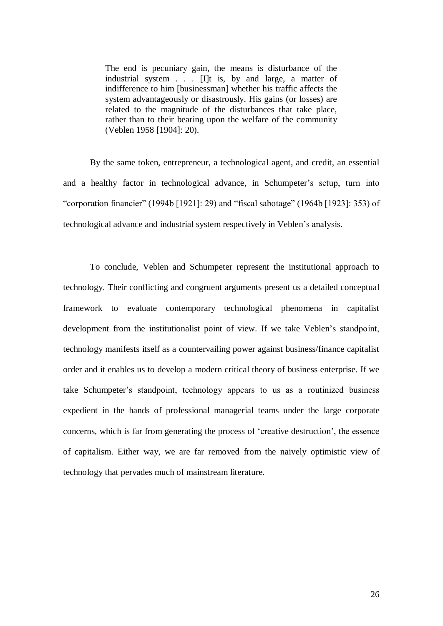The end is pecuniary gain, the means is disturbance of the industrial system . . . [I]t is, by and large, a matter of indifference to him [businessman] whether his traffic affects the system advantageously or disastrously. His gains (or losses) are related to the magnitude of the disturbances that take place, rather than to their bearing upon the welfare of the community (Veblen 1958 [1904]: 20).

By the same token, entrepreneur, a technological agent, and credit, an essential and a healthy factor in technological advance, in Schumpeter's setup, turn into "corporation financier" (1994b [1921]: 29) and "fiscal sabotage" (1964b [1923]: 353) of technological advance and industrial system respectively in Veblen's analysis.

To conclude, Veblen and Schumpeter represent the institutional approach to technology. Their conflicting and congruent arguments present us a detailed conceptual framework to evaluate contemporary technological phenomena in capitalist development from the institutionalist point of view. If we take Veblen's standpoint, technology manifests itself as a countervailing power against business/finance capitalist order and it enables us to develop a modern critical theory of business enterprise. If we take Schumpeter's standpoint, technology appears to us as a routinized business expedient in the hands of professional managerial teams under the large corporate concerns, which is far from generating the process of 'creative destruction', the essence of capitalism. Either way, we are far removed from the naively optimistic view of technology that pervades much of mainstream literature.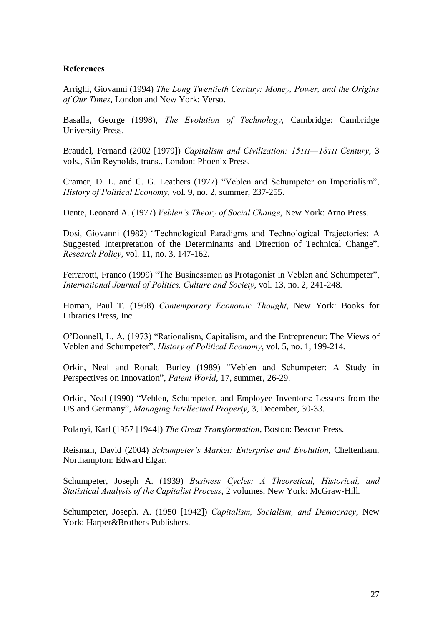# References

Arrighi, Giovanni (1994) The Long Twentieth Century: Money, Power, and the Origins of Our Times, London and New York: Verso.

Basalla, George (1998), The Evolution of Technology, Cambridge: Cambridge University Press.

Braudel, Fernand (2002 [1979]) Capitalism and Civilization: 15TH-18TH Century, 3 vols., Siân Reynolds, trans., London: Phoenix Press.

Cramer, D. L. and C. G. Leathers (1977) "Veblen and Schumpeter on Imperialism", History of Political Economy, vol. 9, no. 2, summer, 237-255.

Dente, Leonard A. (1977) Veblen's Theory of Social Change, New York: Arno Press.

Dosi, Giovanni (1982) "Technological Paradigms and Technological Trajectories: A Suggested Interpretation of the Determinants and Direction of Technical Change", Research Policy, vol. 11, no. 3, 147-162.

Ferrarotti, Franco (1999) "The Businessmen as Protagonist in Veblen and Schumpeter", International Journal of Politics, Culture and Society, vol. 13, no. 2, 241-248.

Homan, Paul T. (1968) Contemporary Economic Thought, New York: Books for Libraries Press, Inc.

O'Donnell, L. A. (1973) "Rationalism, Capitalism, and the Entrepreneur: The Views of Veblen and Schumpeter", *History of Political Economy*, vol. 5, no. 1, 199-214.

Orkin, Neal and Ronald Burley (1989) "Veblen and Schumpeter: A Study in Perspectives on Innovation", Patent World, 17, summer, 26-29.

Orkin, Neal (1990) "Veblen, Schumpeter, and Employee Inventors: Lessons from the US and Germany", Managing Intellectual Property, 3, December, 30-33.

Polanyi, Karl (1957 [1944]) The Great Transformation, Boston: Beacon Press.

Reisman, David (2004) Schumpeter's Market: Enterprise and Evolution, Cheltenham, Northampton: Edward Elgar.

Schumpeter, Joseph A. (1939) Business Cycles: A Theoretical, Historical, and Statistical Analysis of the Capitalist Process, 2 volumes, New York: McGraw-Hill.

Schumpeter, Joseph. A. (1950 [1942]) Capitalism, Socialism, and Democracy, New York: Harper&Brothers Publishers.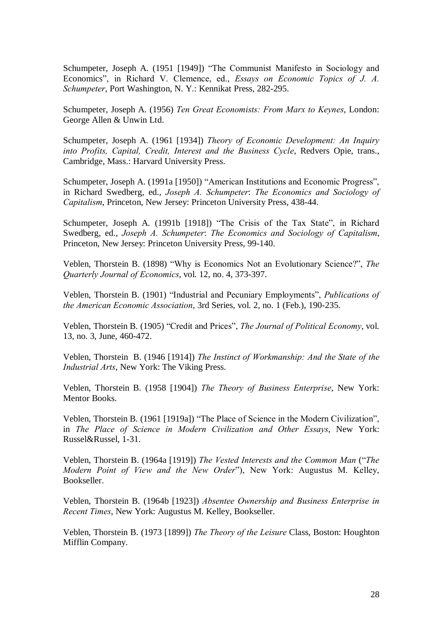Schumpeter, Joseph A. (1951 [1949]) "The Communist Manifesto in Sociology and Economics", in Richard V. Clemence, ed., Essays on Economic Topics of J. A. Schumpeter, Port Washington, N. Y.: Kennikat Press, 282-295.

Schumpeter, Joseph A. (1956) Ten Great Economists: From Marx to Keynes, London: George Allen & Unwin Ltd.

Schumpeter, Joseph A. (1961 [1934]) Theory of Economic Development: An Inquiry into Profits, Capital, Credit, Interest and the Business Cycle, Redvers Opie, trans., Cambridge, Mass.: Harvard University Press.

Schumpeter, Joseph A. (1991a [1950]) "American Institutions and Economic Progress", in Richard Swedberg, ed., Joseph A. Schumpeter: The Economics and Sociology of Capitalism, Princeton, New Jersey: Princeton University Press, 438-44.

Schumpeter, Joseph A. (1991b [1918]) "The Crisis of the Tax State", in Richard Swedberg, ed., Joseph A. Schumpeter: The Economics and Sociology of Capitalism, Princeton, New Jersey: Princeton University Press, 99-140.

Veblen, Thorstein B. (1898) "Why is Economics Not an Evolutionary Science?", The Quarterly Journal of Economics, vol. 12, no. 4, 373-397.

Veblen, Thorstein B. (1901) "Industrial and Pecuniary Employments", Publications of the American Economic Association, 3rd Series, vol. 2, no. 1 (Feb.), 190-235.

Veblen, Thorstein B. (1905) "Credit and Prices", The Journal of Political Economy, vol. 13, no. 3, June, 460-472.

Veblen, Thorstein B. (1946 [1914]) The Instinct of Workmanship: And the State of the Industrial Arts, New York: The Viking Press.

Veblen, Thorstein B. (1958 [1904]) The Theory of Business Enterprise, New York: Mentor Books.

Veblen, Thorstein B. (1961 [1919a]) "The Place of Science in the Modern Civilization", in The Place of Science in Modern Civilization and Other Essays, New York: Russel&Russel, 1-31.

Veblen, Thorstein B. (1964a [1919]) The Vested Interests and the Common Man ("The Modern Point of View and the New Order"), New York: Augustus M. Kelley, Bookseller.

Veblen, Thorstein B. (1964b [1923]) Absentee Ownership and Business Enterprise in Recent Times, New York: Augustus M. Kelley, Bookseller.

Veblen, Thorstein B. (1973 [1899]) The Theory of the Leisure Class, Boston: Houghton Mifflin Company.